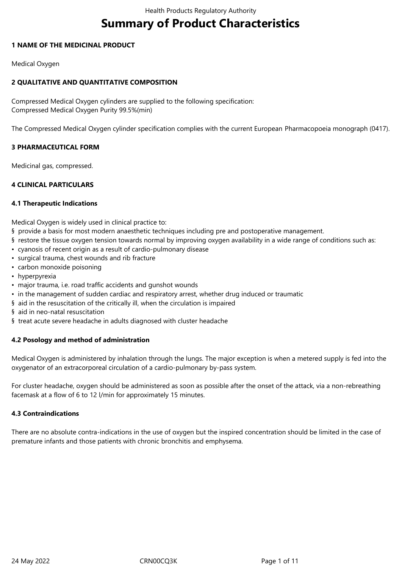# **Summary of Product Characteristics**

## **1 NAME OF THE MEDICINAL PRODUCT**

Medical Oxygen

# **2 QUALITATIVE AND QUANTITATIVE COMPOSITION**

Compressed Medical Oxygen cylinders are supplied to the following specification: Compressed Medical Oxygen Purity 99.5%(min)

The Compressed Medical Oxygen cylinder specification complies with the current European Pharmacopoeia monograph (0417).

## **3 PHARMACEUTICAL FORM**

Medicinal gas, compressed.

## **4 CLINICAL PARTICULARS**

### **4.1 Therapeutic Indications**

Medical Oxygen is widely used in clinical practice to:

- § provide a basis for most modern anaesthetic techniques including pre and postoperative management.
- § restore the tissue oxygen tension towards normal by improving oxygen availability in a wide range of conditions such as:
- cyanosis of recent origin as a result of cardio-pulmonary disease
- surgical trauma, chest wounds and rib fracture
- carbon monoxide poisoning
- hyperpyrexia
- major trauma, i.e. road traffic accidents and gunshot wounds
- in the management of sudden cardiac and respiratory arrest, whether drug induced or traumatic
- § aid in the resuscitation of the critically ill, when the circulation is impaired
- § aid in neo-natal resuscitation
- § treat acute severe headache in adults diagnosed with cluster headache

# **4.2 Posology and method of administration**

Medical Oxygen is administered by inhalation through the lungs. The major exception is when a metered supply is fed into the oxygenator of an extracorporeal circulation of a cardio-pulmonary by-pass system.

For cluster headache, oxygen should be administered as soon as possible after the onset of the attack, via a non-rebreathing facemask at a flow of 6 to 12 l/min for approximately 15 minutes.

### **4.3 Contraindications**

There are no absolute contra-indications in the use of oxygen but the inspired concentration should be limited in the case of premature infants and those patients with chronic bronchitis and emphysema.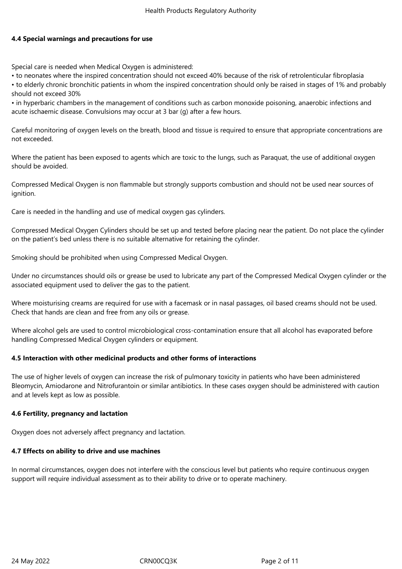## **4.4 Special warnings and precautions for use**

Special care is needed when Medical Oxygen is administered:

• to neonates where the inspired concentration should not exceed 40% because of the risk of retrolenticular fibroplasia

• to elderly chronic bronchitic patients in whom the inspired concentration should only be raised in stages of 1% and probably should not exceed 30%

• in hyperbaric chambers in the management of conditions such as carbon monoxide poisoning, anaerobic infections and acute ischaemic disease. Convulsions may occur at 3 bar (g) after a few hours.

Careful monitoring of oxygen levels on the breath, blood and tissue is required to ensure that appropriate concentrations are not exceeded.

Where the patient has been exposed to agents which are toxic to the lungs, such as Paraquat, the use of additional oxygen should be avoided.

Compressed Medical Oxygen is non flammable but strongly supports combustion and should not be used near sources of ignition.

Care is needed in the handling and use of medical oxygen gas cylinders.

Compressed Medical Oxygen Cylinders should be set up and tested before placing near the patient. Do not place the cylinder on the patient's bed unless there is no suitable alternative for retaining the cylinder.

Smoking should be prohibited when using Compressed Medical Oxygen.

Under no circumstances should oils or grease be used to lubricate any part of the Compressed Medical Oxygen cylinder or the associated equipment used to deliver the gas to the patient.

Where moisturising creams are required for use with a facemask or in nasal passages, oil based creams should not be used. Check that hands are clean and free from any oils or grease.

Where alcohol gels are used to control microbiological cross-contamination ensure that all alcohol has evaporated before handling Compressed Medical Oxygen cylinders or equipment.

# **4.5 Interaction with other medicinal products and other forms of interactions**

The use of higher levels of oxygen can increase the risk of pulmonary toxicity in patients who have been administered Bleomycin, Amiodarone and Nitrofurantoin or similar antibiotics. In these cases oxygen should be administered with caution and at levels kept as low as possible.

### **4.6 Fertility, pregnancy and lactation**

Oxygen does not adversely affect pregnancy and lactation.

### **4.7 Effects on ability to drive and use machines**

In normal circumstances, oxygen does not interfere with the conscious level but patients who require continuous oxygen support will require individual assessment as to their ability to drive or to operate machinery.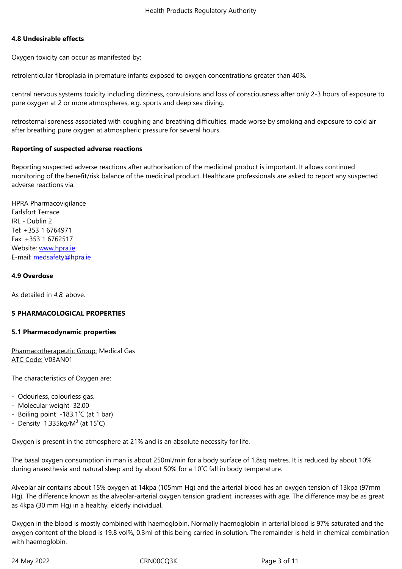#### **4.8 Undesirable effects**

Oxygen toxicity can occur as manifested by:

retrolenticular fibroplasia in premature infants exposed to oxygen concentrations greater than 40%.

central nervous systems toxicity including dizziness, convulsions and loss of consciousness after only 2-3 hours of exposure to pure oxygen at 2 or more atmospheres, e.g. sports and deep sea diving.

retrosternal soreness associated with coughing and breathing difficulties, made worse by smoking and exposure to cold air after breathing pure oxygen at atmospheric pressure for several hours.

### **Reporting of suspected adverse reactions**

Reporting suspected adverse reactions after authorisation of the medicinal product is important. It allows continued monitoring of the benefit/risk balance of the medicinal product. Healthcare professionals are asked to report any suspected adverse reactions via:

HPRA Pharmacovigilance Earlsfort Terrace IRL - Dublin 2 Tel: +353 1 6764971 Fax: +353 1 6762517 Website: www.hpra.ie E-mail: medsafety@hpra.ie

### **4.9 Over[dose](http://www.hpra.ie/)**

As detailed in *4.8.* [above.](mailto:medsafety@hpra.ie)

### **5 PHARMACOLOGICAL PROPERTIES**

### **5.1 Pharmacodynamic properties**

Pharmacotherapeutic Group: Medical Gas ATC Code: V03AN01

The characteristics of Oxygen are:

- Odourless, colourless gas.
- Molecular weight 32.00
- Boiling point -183.1˚C (at 1 bar)
- Density 1.335kg/M $3$  (at 15°C)

Oxygen is present in the atmosphere at 21% and is an absolute necessity for life.

The basal oxygen consumption in man is about 250ml/min for a body surface of 1.8sq metres. It is reduced by about 10% during anaesthesia and natural sleep and by about 50% for a 10˚C fall in body temperature.

Alveolar air contains about 15% oxygen at 14kpa (105mm Hg) and the arterial blood has an oxygen tension of 13kpa (97mm Hg). The difference known as the alveolar-arterial oxygen tension gradient, increases with age. The difference may be as great as 4kpa (30 mm Hg) in a healthy, elderly individual.

Oxygen in the blood is mostly combined with haemoglobin. Normally haemoglobin in arterial blood is 97% saturated and the oxygen content of the blood is 19.8 vol%, 0.3ml of this being carried in solution. The remainder is held in chemical combination with haemoglobin.

24 May 2022 CRN00CQ3K Page 3 of 11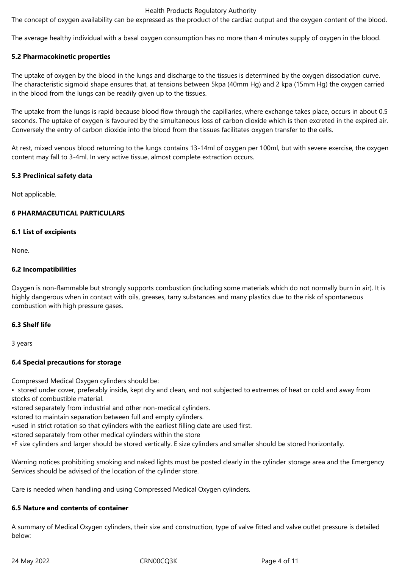### Health Products Regulatory Authority

The concept of oxygen availability can be expressed as the product of the cardiac output and the oxygen content of the blood.

The average healthy individual with a basal oxygen consumption has no more than 4 minutes supply of oxygen in the blood.

### **5.2 Pharmacokinetic properties**

The uptake of oxygen by the blood in the lungs and discharge to the tissues is determined by the oxygen dissociation curve. The characteristic sigmoid shape ensures that, at tensions between 5kpa (40mm Hg) and 2 kpa (15mm Hg) the oxygen carried in the blood from the lungs can be readily given up to the tissues.

The uptake from the lungs is rapid because blood flow through the capillaries, where exchange takes place, occurs in about 0.5 seconds. The uptake of oxygen is favoured by the simultaneous loss of carbon dioxide which is then excreted in the expired air. Conversely the entry of carbon dioxide into the blood from the tissues facilitates oxygen transfer to the cells.

At rest, mixed venous blood returning to the lungs contains 13-14ml of oxygen per 100ml, but with severe exercise, the oxygen content may fall to 3-4ml. In very active tissue, almost complete extraction occurs.

### **5.3 Preclinical safety data**

Not applicable.

## **6 PHARMACEUTICAL PARTICULARS**

## **6.1 List of excipients**

None.

## **6.2 Incompatibilities**

Oxygen is non-flammable but strongly supports combustion (including some materials which do not normally burn in air). It is highly dangerous when in contact with oils, greases, tarry substances and many plastics due to the risk of spontaneous combustion with high pressure gases.

### **6.3 Shelf life**

3 years

# **6.4 Special precautions for storage**

Compressed Medical Oxygen cylinders should be:

• stored under cover, preferably inside, kept dry and clean, and not subjected to extremes of heat or cold and away from stocks of combustible material.

•stored separately from industrial and other non-medical cylinders.

•stored to maintain separation between full and empty cylinders.

•used in strict rotation so that cylinders with the earliest filling date are used first.

•stored separately from other medical cylinders within the store

•F size cylinders and larger should be stored vertically. E size cylinders and smaller should be stored horizontally.

Warning notices prohibiting smoking and naked lights must be posted clearly in the cylinder storage area and the Emergency Services should be advised of the location of the cylinder store.

Care is needed when handling and using Compressed Medical Oxygen cylinders.

### **6.5 Nature and contents of container**

A summary of Medical Oxygen cylinders, their size and construction, type of valve fitted and valve outlet pressure is detailed below: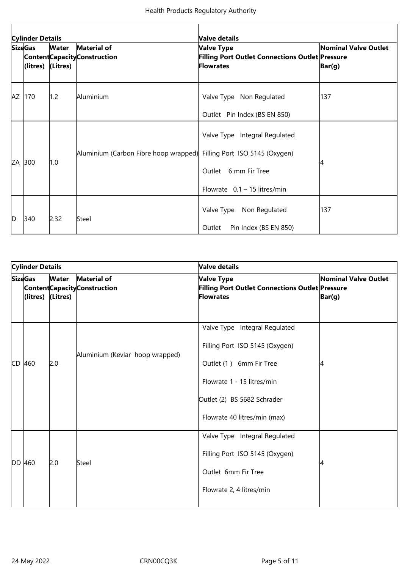| <b>Cylinder Details</b> |                                     |              |                                                                      | Valve details                                                                           |                                                  |  |
|-------------------------|-------------------------------------|--------------|----------------------------------------------------------------------|-----------------------------------------------------------------------------------------|--------------------------------------------------|--|
|                         | <b>SizeGas</b><br>(litres) (Litres) | <b>Water</b> | Material of<br><b>Content Capacity Construction</b>                  | Valve Type<br>Filling Port Outlet Connections Outlet Pressure<br>Flowrates              | <b>Nominal Valve Outlet</b><br>$\mathsf{Bar}(g)$ |  |
| AZ                      | 170                                 | 1.2          | Aluminium                                                            | Valve Type Non Regulated<br>Outlet Pin Index (BS EN 850)                                | 137                                              |  |
|                         | ZA 300                              | 1.0          | Aluminium (Carbon Fibre hoop wrapped) Filling Port ISO 5145 (Oxygen) | Valve Type Integral Regulated<br>Outlet 6 mm Fir Tree<br>Flowrate $0.1 - 15$ litres/min |                                                  |  |
| D                       | 340                                 | 2.32         | Steel                                                                | Valve Type Non Regulated<br>Pin Index (BS EN 850)<br>Outlet                             | 137                                              |  |

| <b>Cylinder Details</b> |                                                       |              |                                              | <b>Valve details</b>                                                                                                                                                                    |                                |  |
|-------------------------|-------------------------------------------------------|--------------|----------------------------------------------|-----------------------------------------------------------------------------------------------------------------------------------------------------------------------------------------|--------------------------------|--|
|                         | <b>SizeGas</b><br>$\left $ (litres) $\left $ (Litres) | <b>Water</b> | Material of<br>Content Capacity Construction | <b>Valve Type</b><br>Filling Port Outlet Connections Outlet Pressure<br><b>Flowrates</b>                                                                                                | Nominal Valve Outlet<br>Bar(g) |  |
|                         | CD 460                                                | 2.0          | Aluminium (Kevlar hoop wrapped)              | Valve Type Integral Regulated<br>Filling Port ISO 5145 (Oxygen)<br>Outlet (1) 6mm Fir Tree<br>Flowrate 1 - 15 litres/min<br>Outlet (2) BS 5682 Schrader<br>Flowrate 40 litres/min (max) |                                |  |
|                         | DD 460                                                | 2.0          | Steel                                        | Valve Type Integral Regulated<br>Filling Port ISO 5145 (Oxygen)<br>Outlet 6mm Fir Tree<br>Flowrate 2, 4 litres/min                                                                      |                                |  |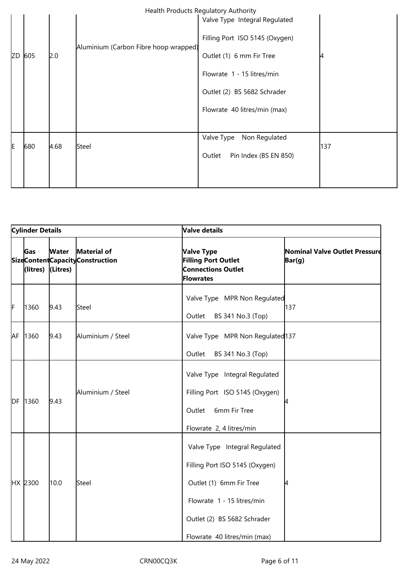|   | Health Products Regulatory Authority |     |      |                                       |                                 |     |  |
|---|--------------------------------------|-----|------|---------------------------------------|---------------------------------|-----|--|
|   |                                      |     |      |                                       | Valve Type Integral Regulated   |     |  |
|   |                                      |     |      | Aluminium (Carbon Fibre hoop wrapped) | Filling Port ISO 5145 (Oxygen)  |     |  |
|   | ZD                                   | 605 | 2.0  |                                       | Outlet (1) 6 mm Fir Tree        |     |  |
|   |                                      |     |      |                                       | Flowrate 1 - 15 litres/min      |     |  |
|   |                                      |     |      |                                       | Outlet (2) BS 5682 Schrader     |     |  |
|   |                                      |     |      |                                       | Flowrate 40 litres/min (max)    |     |  |
|   |                                      |     |      |                                       |                                 |     |  |
|   |                                      |     |      |                                       | Valve Type<br>Non Regulated     |     |  |
| E | 680                                  |     | 4.68 | Steel                                 | Pin Index (BS EN 850)<br>Outlet | 137 |  |
|   |                                      |     |      |                                       |                                 |     |  |
|   |                                      |     |      |                                       |                                 |     |  |

| <b>Cylinder Details</b> |                        |                          |                                                | Valve details                                                                                                                                                                           |                                         |  |  |
|-------------------------|------------------------|--------------------------|------------------------------------------------|-----------------------------------------------------------------------------------------------------------------------------------------------------------------------------------------|-----------------------------------------|--|--|
|                         | <b>Gas</b><br>(litres) | <b>Water</b><br>(Litres) | Material of<br>SizeContentCapacityConstruction | Valve Type<br><b>Filling Port Outlet</b><br><b>Connections Outlet</b><br><b>Flowrates</b>                                                                                               | Nominal Valve Outlet Pressure<br>Bar(g) |  |  |
| F                       | 1360                   | 9.43                     | Steel                                          | Valve Type MPR Non Regulated<br>Outlet<br>BS 341 No.3 (Top)                                                                                                                             | 137                                     |  |  |
|                         | AF 1360                | 9.43                     | Aluminium / Steel                              | Valve Type MPR Non Regulated 137<br>Outlet<br>BS 341 No.3 (Top)                                                                                                                         |                                         |  |  |
|                         | DF 1360                | 9.43                     | Aluminium / Steel                              | Valve Type Integral Regulated<br>Filling Port ISO 5145 (Oxygen)<br>6mm Fir Tree<br>Outlet<br>Flowrate 2, 4 litres/min                                                                   |                                         |  |  |
|                         | HX 2300                | 10.0                     | Steel                                          | Valve Type Integral Regulated<br>Filling Port ISO 5145 (Oxygen)<br>Outlet (1) 6mm Fir Tree<br>Flowrate 1 - 15 litres/min<br>Outlet (2) BS 5682 Schrader<br>Flowrate 40 litres/min (max) | 4                                       |  |  |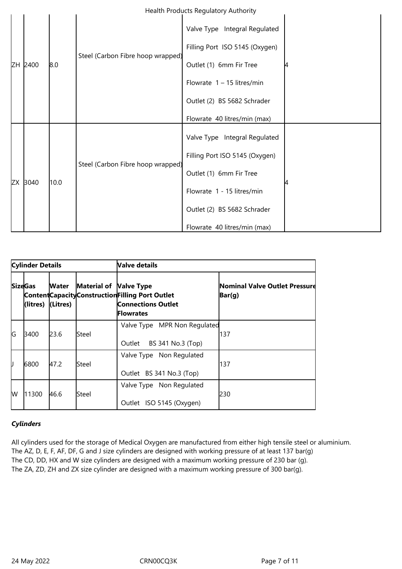|    |      |      | Steel (Carbon Fibre hoop wrapped) | Valve Type Integral Regulated  |  |
|----|------|------|-----------------------------------|--------------------------------|--|
|    |      |      |                                   | Filling Port ISO 5145 (Oxygen) |  |
| ZΗ | 2400 | 8.0  |                                   | Outlet (1) 6mm Fir Tree        |  |
|    |      |      |                                   | Flowrate $1 - 15$ litres/min   |  |
|    |      |      |                                   | Outlet (2) BS 5682 Schrader    |  |
|    |      |      |                                   | Flowrate 40 litres/min (max)   |  |
|    |      |      | Steel (Carbon Fibre hoop wrapped) | Valve Type Integral Regulated  |  |
|    |      |      |                                   | Filling Port ISO 5145 (Oxygen) |  |
|    |      |      |                                   | Outlet (1) 6mm Fir Tree        |  |
| ZX | 3040 | 10.0 |                                   | Flowrate 1 - 15 litres/min     |  |
|    |      |      |                                   | Outlet (2) BS 5682 Schrader    |  |
|    |      |      |                                   | Flowrate 40 litres/min (max)   |  |

| <b>Cylinder Details</b> |                                                       |       |                        | <b>Valve details</b>                                                                                |                                                    |  |
|-------------------------|-------------------------------------------------------|-------|------------------------|-----------------------------------------------------------------------------------------------------|----------------------------------------------------|--|
|                         | <b>SizeGas</b><br>$\left $ (litres) $\left $ (Litres) | Water | Material of Valve Type | Content Capacity Construction Filling Port Outlet<br><b>Connections Outlet</b><br><b>IFlowrates</b> | Nominal Valve Outlet Pressure<br>$\mathsf{Bar}(g)$ |  |
| G                       | 3400                                                  | 23.6  | lSteel                 | Valve Type MPR Non Regulated<br>BS 341 No.3 (Top)<br>Outlet                                         | 137                                                |  |
| IJ                      | 6800                                                  | 47.2  | <b>Steel</b>           | Valve Type Non Regulated<br>Outlet BS 341 No.3 (Top)                                                | 137                                                |  |
| lw                      | 11300                                                 | 46.6  | lSteel                 | Valve Type Non Regulated<br>Outlet ISO 5145 (Oxygen)                                                | 230                                                |  |

# *Cylinders*

All cylinders used for the storage of Medical Oxygen are manufactured from either high tensile steel or aluminium. The AZ, D, E, F, AF, DF, G and J size cylinders are designed with working pressure of at least 137 bar(g) The CD, DD, HX and W size cylinders are designed with a maximum working pressure of 230 bar (g). The ZA, ZD, ZH and ZX size cylinder are designed with a maximum working pressure of 300 bar(g).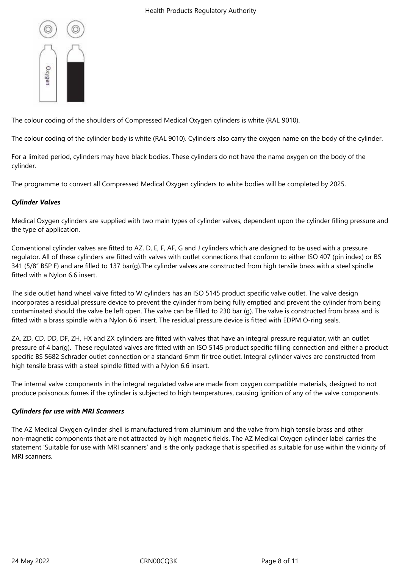

The colour coding of the shoulders of Compressed Medical Oxygen cylinders is white (RAL 9010).

The colour coding of the cylinder body is white (RAL 9010). Cylinders also carry the oxygen name on the body of the cylinder.

For a limited period, cylinders may have black bodies. These cylinders do not have the name oxygen on the body of the cylinder.

The programme to convert all Compressed Medical Oxygen cylinders to white bodies will be completed by 2025.

# *Cylinder Valves*

Medical Oxygen cylinders are supplied with two main types of cylinder valves, dependent upon the cylinder filling pressure and the type of application.

Conventional cylinder valves are fitted to AZ, D, E, F, AF, G and J cylinders which are designed to be used with a pressure regulator. All of these cylinders are fitted with valves with outlet connections that conform to either ISO 407 (pin index) or BS 341 (5/8" BSP F) and are filled to 137 bar(g).The cylinder valves are constructed from high tensile brass with a steel spindle fitted with a Nylon 6.6 insert.

The side outlet hand wheel valve fitted to W cylinders has an ISO 5145 product specific valve outlet. The valve design incorporates a residual pressure device to prevent the cylinder from being fully emptied and prevent the cylinder from being contaminated should the valve be left open. The valve can be filled to 230 bar (g). The valve is constructed from brass and is fitted with a brass spindle with a Nylon 6.6 insert. The residual pressure device is fitted with EDPM O-ring seals.

ZA, ZD, CD, DD, DF, ZH, HX and ZX cylinders are fitted with valves that have an integral pressure regulator, with an outlet pressure of 4 bar(g). These regulated valves are fitted with an ISO 5145 product specific filling connection and either a product specific BS 5682 Schrader outlet connection or a standard 6mm fir tree outlet. Integral cylinder valves are constructed from high tensile brass with a steel spindle fitted with a Nylon 6.6 insert.

The internal valve components in the integral regulated valve are made from oxygen compatible materials, designed to not produce poisonous fumes if the cylinder is subjected to high temperatures, causing ignition of any of the valve components.

# *Cylinders for use with MRI Scanners*

The AZ Medical Oxygen cylinder shell is manufactured from aluminium and the valve from high tensile brass and other non-magnetic components that are not attracted by high magnetic fields. The AZ Medical Oxygen cylinder label carries the statement 'Suitable for use with MRI scanners' and is the only package that is specified as suitable for use within the vicinity of MRI scanners.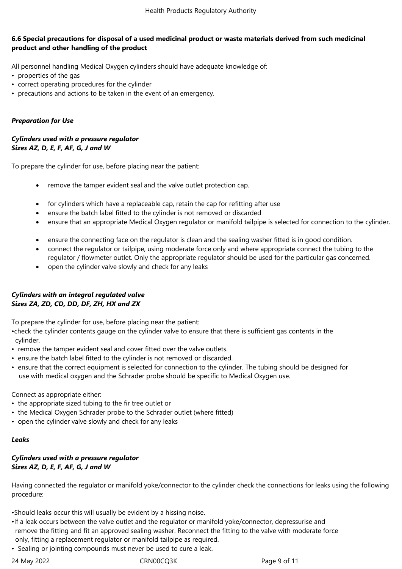## **6.6 Special precautions for disposal of a used medicinal product or waste materials derived from such medicinal product and other handling of the product**

All personnel handling Medical Oxygen cylinders should have adequate knowledge of:

- properties of the gas
- correct operating procedures for the cylinder
- precautions and actions to be taken in the event of an emergency.

# *Preparation for Use*

## *Cylinders used with a pressure regulator Sizes AZ, D, E, F, AF, G, J and W*

To prepare the cylinder for use, before placing near the patient:

- remove the tamper evident seal and the valve outlet protection cap.
- for cylinders which have a replaceable cap, retain the cap for refitting after use
- ensure the batch label fitted to the cylinder is not removed or discarded
- ensure that an appropriate Medical Oxygen regulator or manifold tailpipe is selected for connection to the cylinder.
- ensure the connecting face on the regulator is clean and the sealing washer fitted is in good condition.
- connect the regulator or tailpipe, using moderate force only and where appropriate connect the tubing to the regulator / flowmeter outlet. Only the appropriate regulator should be used for the particular gas concerned.
- open the cylinder valve slowly and check for any leaks

# *Cylinders with an integral regulated valve Sizes ZA, ZD, CD, DD, DF, ZH, HX and ZX*

To prepare the cylinder for use, before placing near the patient:

•check the cylinder contents gauge on the cylinder valve to ensure that there is sufficient gas contents in the cylinder.

- remove the tamper evident seal and cover fitted over the valve outlets.
- ensure the batch label fitted to the cylinder is not removed or discarded.
- ensure that the correct equipment is selected for connection to the cylinder. The tubing should be designed for use with medical oxygen and the Schrader probe should be specific to Medical Oxygen use.

Connect as appropriate either:

- the appropriate sized tubing to the fir tree outlet or
- the Medical Oxygen Schrader probe to the Schrader outlet (where fitted)
- open the cylinder valve slowly and check for any leaks

### *Leaks*

## *Cylinders used with a pressure regulator Sizes AZ, D, E, F, AF, G, J and W*

Having connected the regulator or manifold yoke/connector to the cylinder check the connections for leaks using the following procedure:

•Should leaks occur this will usually be evident by a hissing noise.

- •If a leak occurs between the valve outlet and the regulator or manifold yoke/connector, depressurise and remove the fitting and fit an approved sealing washer. Reconnect the fitting to the valve with moderate force only, fitting a replacement regulator or manifold tailpipe as required.
- Sealing or jointing compounds must never be used to cure a leak.

24 May 2022 **CRN00CQ3K** Page 9 of 11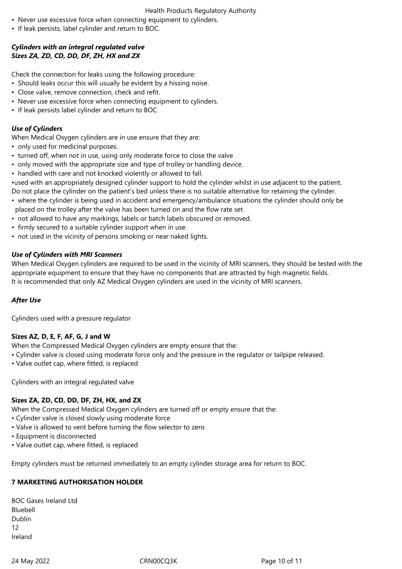### Health Products Regulatory Authority

- Never use excessive force when connecting equipment to cylinders.
- If leak persists, label cylinder and return to BOC.

# *Cylinders with an integral regulated valve Sizes ZA, ZD, CD, DD, DF, ZH, HX and ZX*

Check the connection for leaks using the following procedure:

- Should leaks occur this will usually be evident by a hissing noise.
- Close valve, remove connection, check and refit.
- Never use excessive force when connecting equipment to cylinders.
- If leak persists label cylinder and return to BOC

# *Use of Cylinders*

When Medical Oxygen cylinders are in use ensure that they are:

- only used for medicinal purposes.
- turned off, when not in use, using only moderate force to close the valve
- only moved with the appropriate size and type of trolley or handling device.
- handled with care and not knocked violently or allowed to fall.

•used with an appropriately designed cylinder support to hold the cylinder whilst in use adjacent to the patient.

Do not place the cylinder on the patient's bed unless there is no suitable alternative for retaining the cylinder.

- where the cylinder is being used in accident and emergency/ambulance situations the cylinder should only be placed on the trolley after the valve has been turned on and the flow rate set.
- not allowed to have any markings, labels or batch labels obscured or removed.
- firmly secured to a suitable cylinder support when in use.
- not used in the vicinity of persons smoking or near naked lights.

# *Use of Cylinders with MRI Scanners*

When Medical Oxygen cylinders are required to be used in the vicinity of MRI scanners, they should be tested with the appropriate equipment to ensure that they have no components that are attracted by high magnetic fields. It is recommended that only AZ Medical Oxygen cylinders are used in the vicinity of MRI scanners.

# *After Use*

Cylinders used with a pressure regulator

# **Sizes AZ, D, E, F, AF, G, J and W**

When the Compressed Medical Oxygen cylinders are empty ensure that the:

- Cylinder valve is closed using moderate force only and the pressure in the regulator or tailpipe released.
- Valve outlet cap, where fitted, is replaced

Cylinders with an integral regulated valve

# **Sizes ZA, ZD, CD, DD, DF, ZH, HX, and ZX**

When the Compressed Medical Oxygen cylinders are turned off or empty ensure that the:

- Cylinder valve is closed slowly using moderate force
- Valve is allowed to vent before turning the flow selector to zero
- Equipment is disconnected
- Valve outlet cap, where fitted, is replaced

Empty cylinders must be returned immediately to an empty cylinder storage area for return to BOC.

# **7 MARKETING AUTHORISATION HOLDER**

| <b>BOC Gases Ireland Ltd</b> |  |
|------------------------------|--|
| Bluebell                     |  |
| Dublin                       |  |
| 12                           |  |
| Ireland                      |  |